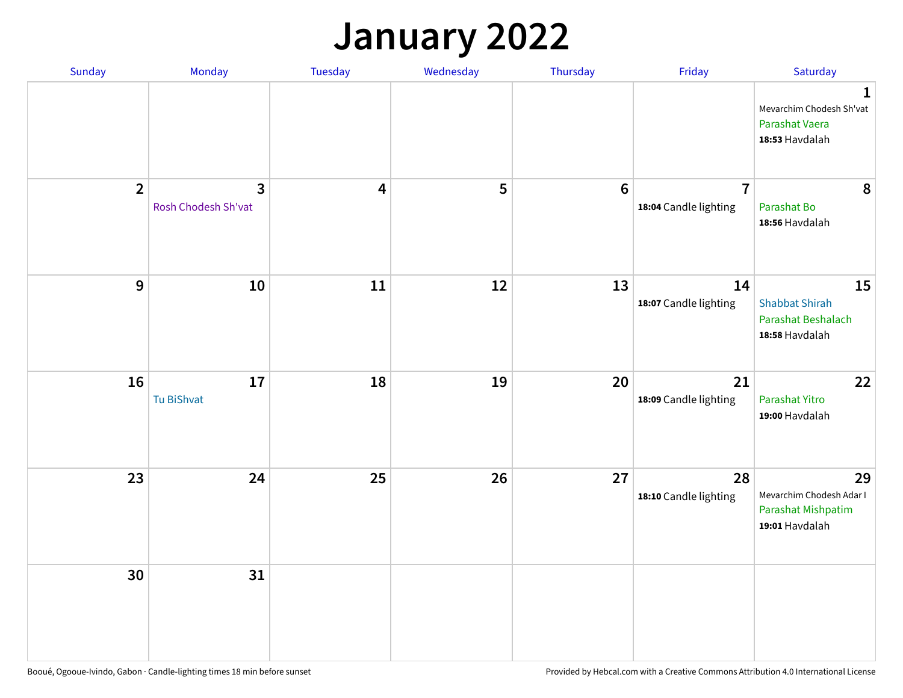## **January 2022**

| Sunday         | Monday                                         | Tuesday                 | Wednesday | Thursday        | Friday                                  | Saturday                                                                    |
|----------------|------------------------------------------------|-------------------------|-----------|-----------------|-----------------------------------------|-----------------------------------------------------------------------------|
|                |                                                |                         |           |                 |                                         | $\mathbf 1$<br>Mevarchim Chodesh Sh'vat<br>Parashat Vaera<br>18:53 Havdalah |
| $\overline{2}$ | $\overline{\mathbf{3}}$<br>Rosh Chodesh Sh'vat | $\overline{\mathbf{4}}$ | 5         | $6\phantom{1}6$ | $\overline{7}$<br>18:04 Candle lighting | 8<br>Parashat Bo<br>18:56 Havdalah                                          |
| 9              | 10                                             | 11                      | 12        | 13              | 14<br>18:07 Candle lighting             | 15<br><b>Shabbat Shirah</b><br>Parashat Beshalach<br>18:58 Havdalah         |
| 16             | 17<br>Tu BiShvat                               | 18                      | 19        | 20              | 21<br>18:09 Candle lighting             | 22<br>Parashat Yitro<br>19:00 Havdalah                                      |
| 23             | 24                                             | 25                      | 26        | 27              | 28<br>18:10 Candle lighting             | 29<br>Mevarchim Chodesh Adar I<br>Parashat Mishpatim<br>19:01 Havdalah      |
| 30             | 31                                             |                         |           |                 |                                         |                                                                             |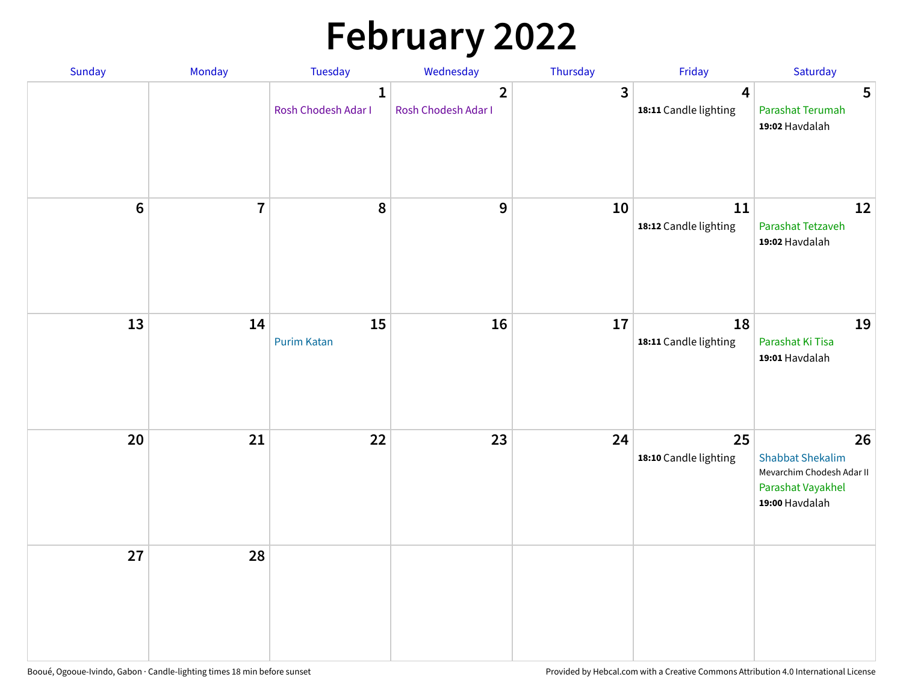# **February 2022**

| Sunday | Monday                  | <b>Tuesday</b>                      | Wednesday                             | Thursday | Friday                                           | Saturday                                                                                          |
|--------|-------------------------|-------------------------------------|---------------------------------------|----------|--------------------------------------------------|---------------------------------------------------------------------------------------------------|
|        |                         | $\mathbf{1}$<br>Rosh Chodesh Adar I | $\overline{2}$<br>Rosh Chodesh Adar I | 3        | $\overline{\mathbf{4}}$<br>18:11 Candle lighting | 5<br>Parashat Terumah<br>19:02 Havdalah                                                           |
| $6\,$  | $\overline{\mathbf{7}}$ | 8                                   | 9                                     | 10       | 11<br>18:12 Candle lighting                      | 12<br>Parashat Tetzaveh<br>19:02 Havdalah                                                         |
| 13     | 14                      | 15<br><b>Purim Katan</b>            | 16                                    | 17       | 18<br>18:11 Candle lighting                      | 19<br>Parashat Ki Tisa<br>19:01 Havdalah                                                          |
| 20     | 21                      | 22                                  | 23                                    | 24       | 25<br>18:10 Candle lighting                      | 26<br><b>Shabbat Shekalim</b><br>Mevarchim Chodesh Adar II<br>Parashat Vayakhel<br>19:00 Havdalah |
| 27     | 28                      |                                     |                                       |          |                                                  |                                                                                                   |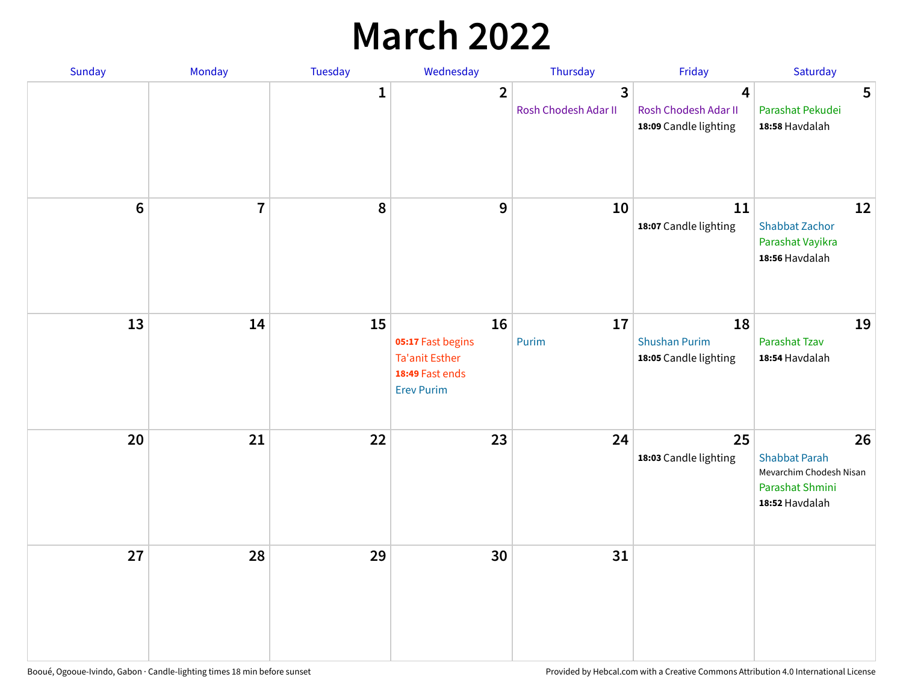## **March 2022**

| Sunday           | Monday         | <b>Tuesday</b> | Wednesday                                                                         | Thursday                  | Friday                                              | Saturday                                                                                   |
|------------------|----------------|----------------|-----------------------------------------------------------------------------------|---------------------------|-----------------------------------------------------|--------------------------------------------------------------------------------------------|
|                  |                | $\mathbf{1}$   | $\overline{2}$                                                                    | 3<br>Rosh Chodesh Adar II | 4<br>Rosh Chodesh Adar II<br>18:09 Candle lighting  | 5<br>Parashat Pekudei<br>18:58 Havdalah                                                    |
| $\boldsymbol{6}$ | $\overline{7}$ | 8              | 9                                                                                 | 10                        | 11<br>18:07 Candle lighting                         | 12<br><b>Shabbat Zachor</b><br>Parashat Vayikra<br>18:56 Havdalah                          |
| 13               | 14             | 15             | 16<br>05:17 Fast begins<br>Ta'anit Esther<br>18:49 Fast ends<br><b>Erev Purim</b> | 17<br>Purim               | 18<br><b>Shushan Purim</b><br>18:05 Candle lighting | 19<br>Parashat Tzav<br>18:54 Havdalah                                                      |
| 20               | 21             | 22             | 23                                                                                | 24                        | 25<br>18:03 Candle lighting                         | 26<br><b>Shabbat Parah</b><br>Mevarchim Chodesh Nisan<br>Parashat Shmini<br>18:52 Havdalah |
| 27               | 28             | 29             | 30                                                                                | 31                        |                                                     |                                                                                            |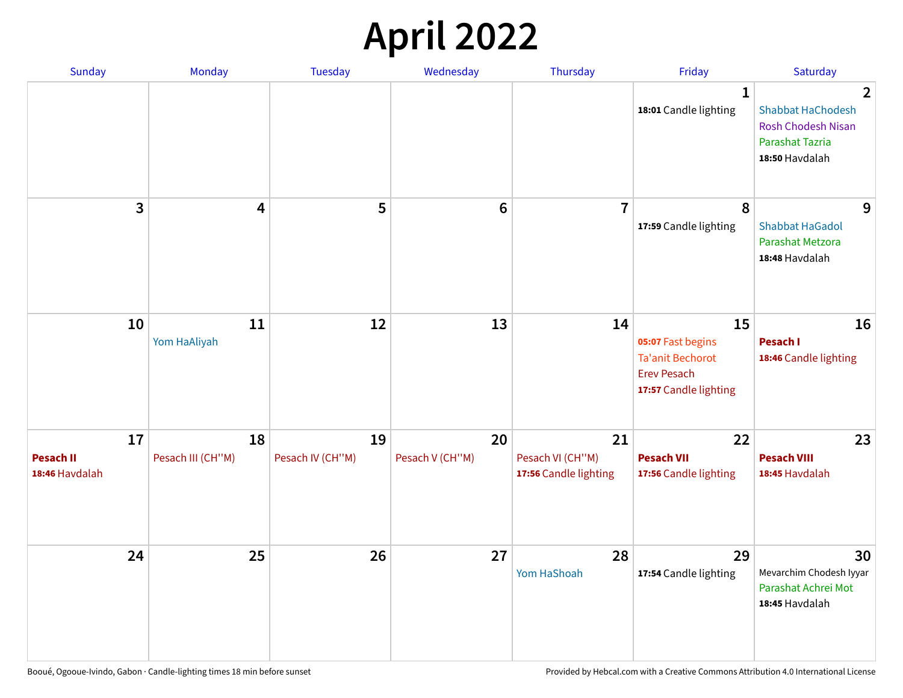## **April 2022**

| Sunday                                   | Monday                  | <b>Tuesday</b>         | Wednesday             | Thursday                                        | Friday                                                                                            | Saturday                                                                                                            |
|------------------------------------------|-------------------------|------------------------|-----------------------|-------------------------------------------------|---------------------------------------------------------------------------------------------------|---------------------------------------------------------------------------------------------------------------------|
|                                          |                         |                        |                       |                                                 | $\mathbf{1}$<br>18:01 Candle lighting                                                             | $\overline{2}$<br><b>Shabbat HaChodesh</b><br><b>Rosh Chodesh Nisan</b><br><b>Parashat Tazria</b><br>18:50 Havdalah |
| 3                                        | $\overline{\mathbf{4}}$ | 5                      | $6\phantom{1}6$       | $\overline{7}$                                  | 8<br>17:59 Candle lighting                                                                        | 9<br><b>Shabbat HaGadol</b><br>Parashat Metzora<br>18:48 Havdalah                                                   |
| 10                                       | 11<br>Yom HaAliyah      | 12                     | 13                    | 14                                              | 15<br>05:07 Fast begins<br><b>Ta'anit Bechorot</b><br><b>Erev Pesach</b><br>17:57 Candle lighting | 16<br>Pesach I<br>18:46 Candle lighting                                                                             |
| 17<br><b>Pesach II</b><br>18:46 Havdalah | 18<br>Pesach III (CH"M) | 19<br>Pesach IV (CH"M) | 20<br>Pesach V (CH"M) | 21<br>Pesach VI (CH"M)<br>17:56 Candle lighting | 22<br><b>Pesach VII</b><br>17:56 Candle lighting                                                  | 23<br><b>Pesach VIII</b><br>18:45 Havdalah                                                                          |
| 24                                       | 25                      | 26                     | 27                    | 28<br>Yom HaShoah                               | 29<br>17:54 Candle lighting                                                                       | 30<br>Mevarchim Chodesh Iyyar<br>Parashat Achrei Mot<br>18:45 Havdalah                                              |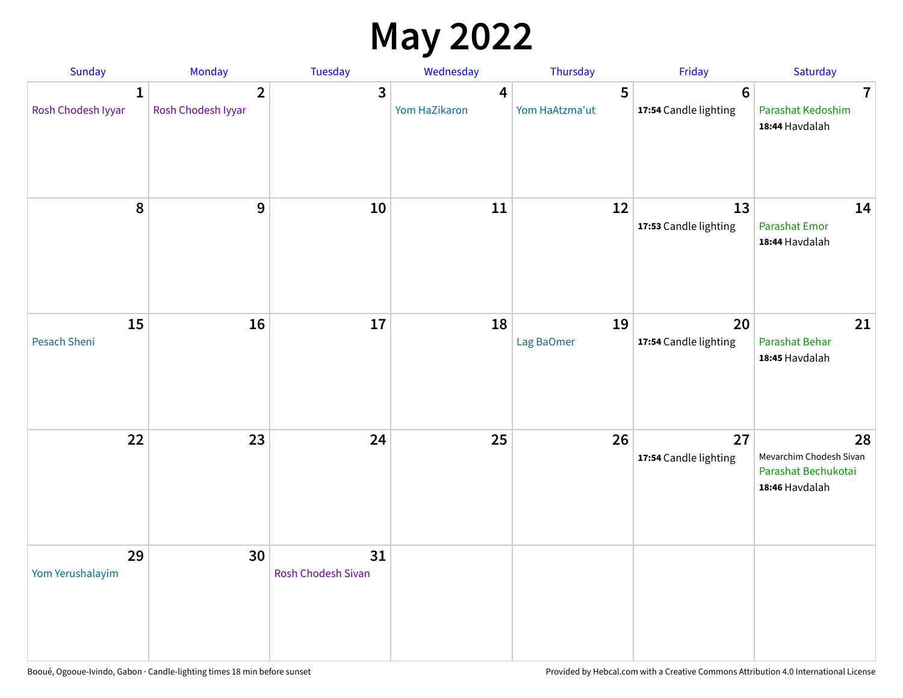## **May 2022**

| Sunday                  | Monday                               | Tuesday                         | Wednesday          | Thursday            | Friday                                  | Saturday                                                               |
|-------------------------|--------------------------------------|---------------------------------|--------------------|---------------------|-----------------------------------------|------------------------------------------------------------------------|
| 1<br>Rosh Chodesh Iyyar | $\overline{2}$<br>Rosh Chodesh Iyyar | 3                               | 4<br>Yom HaZikaron | 5<br>Yom HaAtzma'ut | $6\phantom{1}$<br>17:54 Candle lighting | $\overline{7}$<br>Parashat Kedoshim<br>18:44 Havdalah                  |
| $\pmb{8}$               | $\mathbf{9}$                         | 10                              | 11                 | 12                  | 13<br>17:53 Candle lighting             | 14<br><b>Parashat Emor</b><br>18:44 Havdalah                           |
| 15<br>Pesach Sheni      | 16                                   | 17                              | 18                 | 19<br>Lag BaOmer    | 20<br>17:54 Candle lighting             | 21<br>Parashat Behar<br>18:45 Havdalah                                 |
| 22                      | 23                                   | 24                              | 25                 | 26                  | 27<br>17:54 Candle lighting             | 28<br>Mevarchim Chodesh Sivan<br>Parashat Bechukotai<br>18:46 Havdalah |
| 29<br>Yom Yerushalayim  | 30                                   | 31<br><b>Rosh Chodesh Sivan</b> |                    |                     |                                         |                                                                        |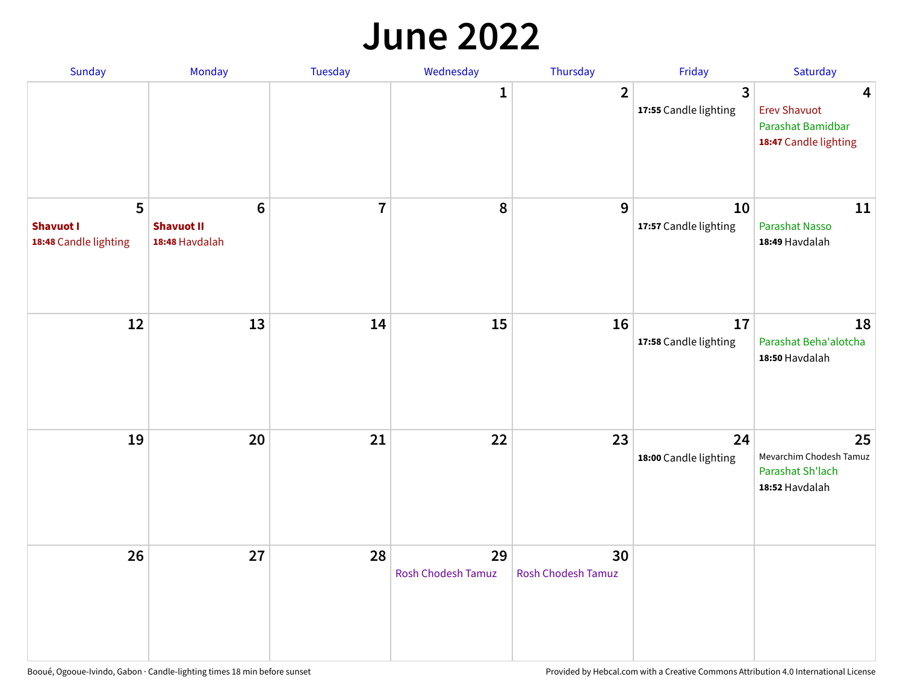#### **June 2022**

| Sunday                                         | Monday                                                | Tuesday        | Wednesday                       | Thursday                        | Friday                      | Saturday                                                               |
|------------------------------------------------|-------------------------------------------------------|----------------|---------------------------------|---------------------------------|-----------------------------|------------------------------------------------------------------------|
|                                                |                                                       |                | 1                               | $\overline{2}$                  | 3<br>17:55 Candle lighting  | 4<br><b>Erev Shavuot</b><br>Parashat Bamidbar<br>18:47 Candle lighting |
| 5<br><b>Shavuot I</b><br>18:48 Candle lighting | $6\phantom{1}$<br><b>Shavuot II</b><br>18:48 Havdalah | $\overline{7}$ | 8                               | 9                               | 10<br>17:57 Candle lighting | 11<br><b>Parashat Nasso</b><br>18:49 Havdalah                          |
| 12                                             | 13                                                    | 14             | 15                              | 16                              | 17<br>17:58 Candle lighting | 18<br>Parashat Beha'alotcha<br>18:50 Havdalah                          |
| 19                                             | 20                                                    | 21             | 22                              | 23                              | 24<br>18:00 Candle lighting | 25<br>Mevarchim Chodesh Tamuz<br>Parashat Sh'lach<br>18:52 Havdalah    |
| 26                                             | 27                                                    | 28             | 29<br><b>Rosh Chodesh Tamuz</b> | 30<br><b>Rosh Chodesh Tamuz</b> |                             |                                                                        |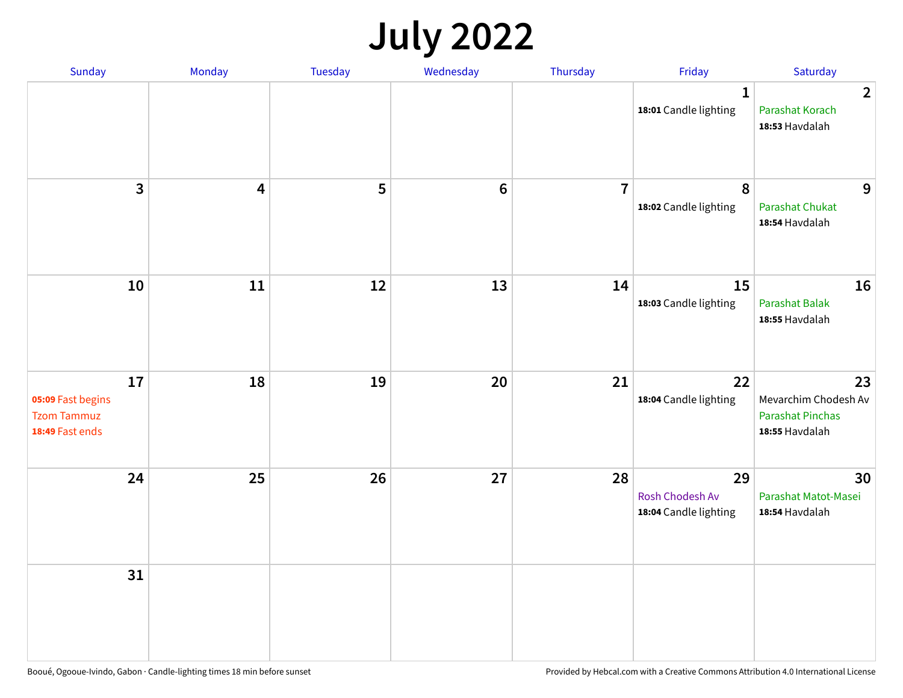## **July 2022**

| Sunday                                                           | Monday                  | Tuesday | Wednesday | Thursday       | Friday                                         | Saturday                                                                |
|------------------------------------------------------------------|-------------------------|---------|-----------|----------------|------------------------------------------------|-------------------------------------------------------------------------|
|                                                                  |                         |         |           |                | $\mathbf{1}$<br>18:01 Candle lighting          | $\overline{2}$<br>Parashat Korach<br>18:53 Havdalah                     |
| $\mathbf{3}$                                                     | $\overline{\mathbf{4}}$ | 5       | $\bf 6$   | $\overline{7}$ | $\pmb{8}$<br>18:02 Candle lighting             | 9<br>Parashat Chukat<br>18:54 Havdalah                                  |
| 10                                                               | 11                      | 12      | 13        | 14             | 15<br>18:03 Candle lighting                    | 16<br><b>Parashat Balak</b><br>18:55 Havdalah                           |
| 17<br>05:09 Fast begins<br><b>Tzom Tammuz</b><br>18:49 Fast ends | 18                      | 19      | 20        | 21             | 22<br>18:04 Candle lighting                    | 23<br>Mevarchim Chodesh Av<br><b>Parashat Pinchas</b><br>18:55 Havdalah |
| 24                                                               | 25                      | 26      | 27        | 28             | 29<br>Rosh Chodesh Av<br>18:04 Candle lighting | 30<br>Parashat Matot-Masei<br>18:54 Havdalah                            |
| 31                                                               |                         |         |           |                |                                                |                                                                         |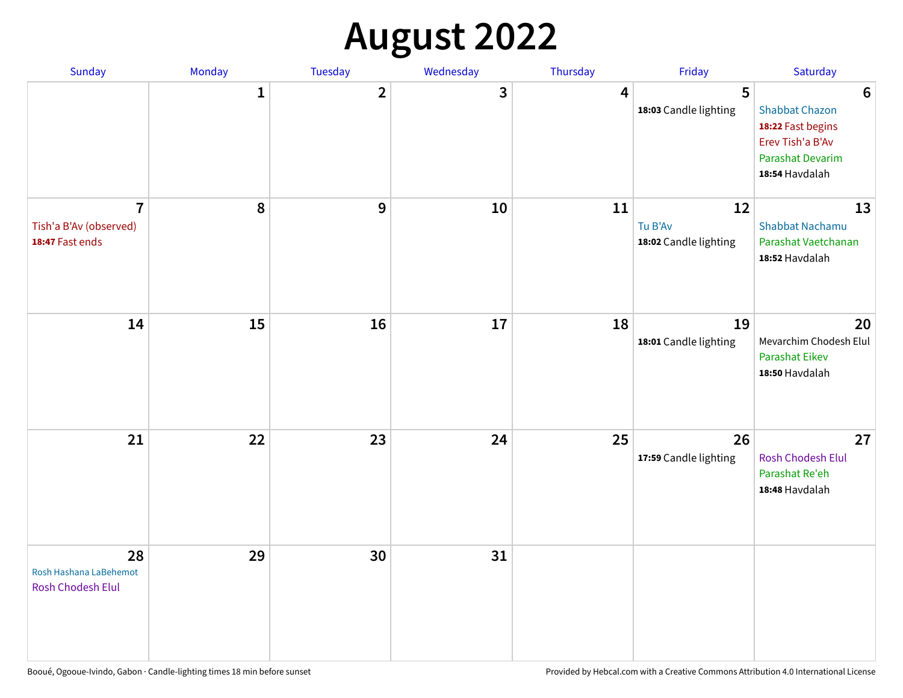## **August 2022**

| Sunday                                                      | Monday       | Tuesday                 | Wednesday | Thursday | Friday                                 | Saturday                                                                                                                       |
|-------------------------------------------------------------|--------------|-------------------------|-----------|----------|----------------------------------------|--------------------------------------------------------------------------------------------------------------------------------|
|                                                             | $\mathbf{1}$ | $\overline{\mathbf{2}}$ | 3         | 4        | 5<br>18:03 Candle lighting             | $6\phantom{1}6$<br><b>Shabbat Chazon</b><br>18:22 Fast begins<br>Erev Tish'a B'Av<br><b>Parashat Devarim</b><br>18:54 Havdalah |
| $\overline{7}$<br>Tish'a B'Av (observed)<br>18:47 Fast ends | 8            | 9                       | 10        | 11       | 12<br>Tu B'Av<br>18:02 Candle lighting | 13<br><b>Shabbat Nachamu</b><br>Parashat Vaetchanan<br>18:52 Havdalah                                                          |
| 14                                                          | 15           | 16                      | 17        | 18       | 19<br>18:01 Candle lighting            | 20<br>Mevarchim Chodesh Elul<br>Parashat Eikev<br>18:50 Havdalah                                                               |
| 21                                                          | 22           | 23                      | 24        | 25       | 26<br>17:59 Candle lighting            | 27<br><b>Rosh Chodesh Elul</b><br>Parashat Re'eh<br>18:48 Havdalah                                                             |
| 28<br>Rosh Hashana LaBehemot<br>Rosh Chodesh Elul           | 29           | 30                      | 31        |          |                                        |                                                                                                                                |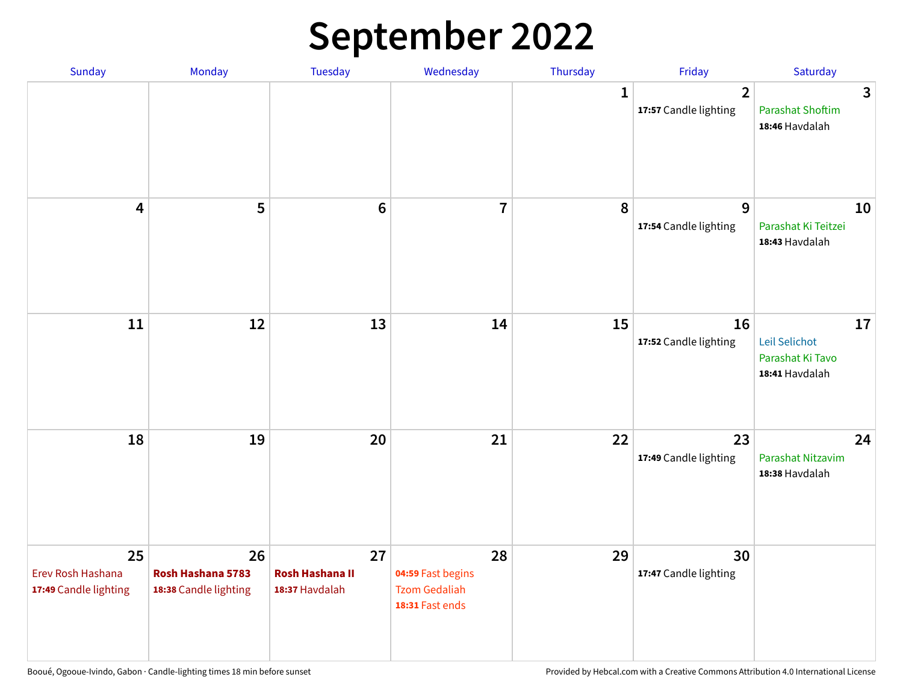## **September 2022**

| Sunday                                           | Monday                                           | Tuesday                                        | Wednesday                                                          | Thursday     | Friday                                  | Saturday                                                  |
|--------------------------------------------------|--------------------------------------------------|------------------------------------------------|--------------------------------------------------------------------|--------------|-----------------------------------------|-----------------------------------------------------------|
|                                                  |                                                  |                                                |                                                                    | $\mathbf{1}$ | $\overline{2}$<br>17:57 Candle lighting | 3<br><b>Parashat Shoftim</b><br>18:46 Havdalah            |
| $\overline{\mathbf{4}}$                          | 5                                                | $6\phantom{1}6$                                | $\overline{7}$                                                     | 8            | 9<br>17:54 Candle lighting              | 10<br>Parashat Ki Teitzei<br>18:43 Havdalah               |
| $11\,$                                           | 12                                               | 13                                             | 14                                                                 | 15           | 16<br>17:52 Candle lighting             | 17<br>Leil Selichot<br>Parashat Ki Tavo<br>18:41 Havdalah |
| 18                                               | 19                                               | 20                                             | 21                                                                 | 22           | 23<br>17:49 Candle lighting             | 24<br>Parashat Nitzavim<br>18:38 Havdalah                 |
| 25<br>Erev Rosh Hashana<br>17:49 Candle lighting | 26<br>Rosh Hashana 5783<br>18:38 Candle lighting | 27<br><b>Rosh Hashana II</b><br>18:37 Havdalah | 28<br>04:59 Fast begins<br><b>Tzom Gedaliah</b><br>18:31 Fast ends | 29           | 30<br>17:47 Candle lighting             |                                                           |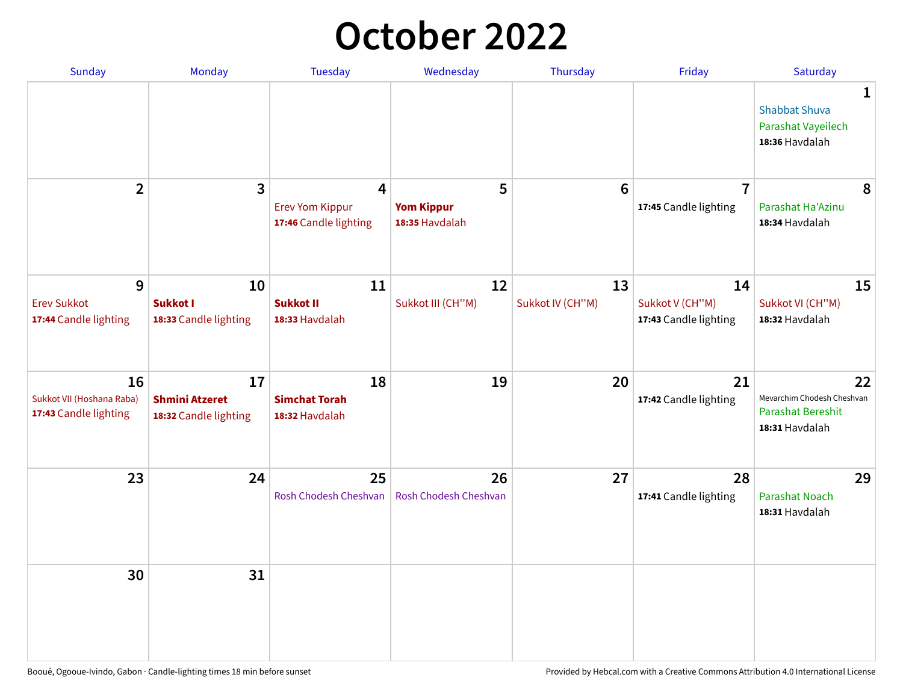## **October 2022**

| Sunday                                                   | Monday                                               | <b>Tuesday</b>                                                    | Wednesday                                | Thursday               | Friday                                         | Saturday                                                                |
|----------------------------------------------------------|------------------------------------------------------|-------------------------------------------------------------------|------------------------------------------|------------------------|------------------------------------------------|-------------------------------------------------------------------------|
|                                                          |                                                      |                                                                   |                                          |                        |                                                | 1<br><b>Shabbat Shuva</b><br>Parashat Vayeilech<br>18:36 Havdalah       |
| $\overline{2}$                                           | $\overline{\mathbf{3}}$                              | $\overline{4}$<br><b>Erev Yom Kippur</b><br>17:46 Candle lighting | 5<br><b>Yom Kippur</b><br>18:35 Havdalah | 6                      | $\overline{7}$<br>17:45 Candle lighting        | 8<br>Parashat Ha'Azinu<br>18:34 Havdalah                                |
| 9<br><b>Erev Sukkot</b><br>17:44 Candle lighting         | 10<br><b>Sukkot I</b><br>18:33 Candle lighting       | 11<br><b>Sukkot II</b><br>18:33 Havdalah                          | 12<br>Sukkot III (CH"M)                  | 13<br>Sukkot IV (CH"M) | 14<br>Sukkot V (CH"M)<br>17:43 Candle lighting | 15<br>Sukkot VI (CH"M)<br>18:32 Havdalah                                |
| 16<br>Sukkot VII (Hoshana Raba)<br>17:43 Candle lighting | 17<br><b>Shmini Atzeret</b><br>18:32 Candle lighting | 18<br><b>Simchat Torah</b><br>18:32 Havdalah                      | 19                                       | 20                     | 21<br>17:42 Candle lighting                    | 22<br>Mevarchim Chodesh Cheshvan<br>Parashat Bereshit<br>18:31 Havdalah |
| 23                                                       | 24                                                   | 25<br>Rosh Chodesh Cheshvan                                       | 26<br>Rosh Chodesh Cheshvan              | 27                     | 28<br>17:41 Candle lighting                    | 29<br><b>Parashat Noach</b><br>18:31 Havdalah                           |
| 30                                                       | 31                                                   |                                                                   |                                          |                        |                                                |                                                                         |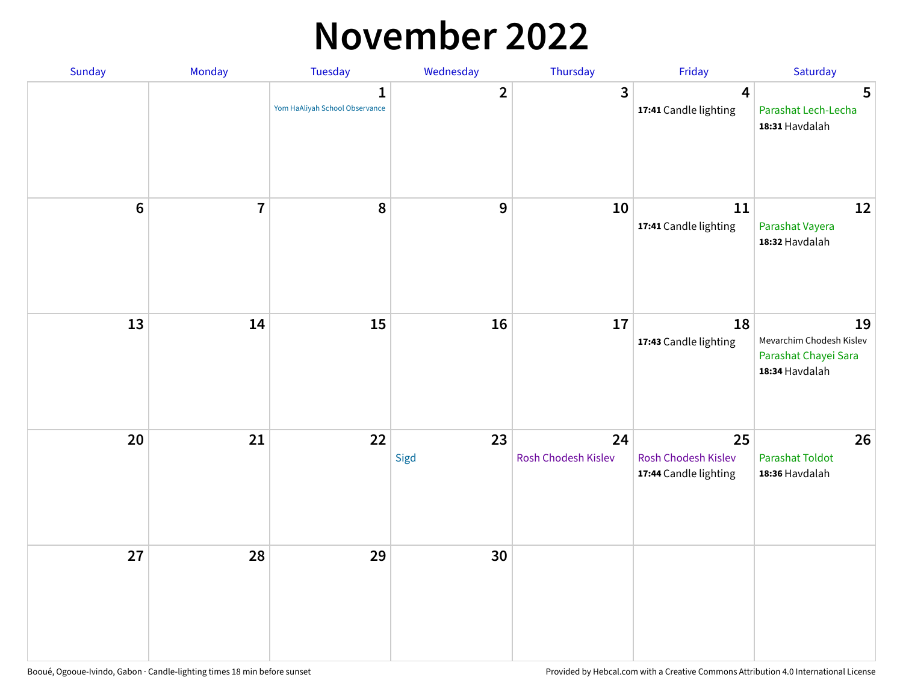### **November 2022**

| Sunday         | Monday                  | <b>Tuesday</b>                                 | Wednesday               | Thursday                  | Friday                                             | Saturday                                                                 |
|----------------|-------------------------|------------------------------------------------|-------------------------|---------------------------|----------------------------------------------------|--------------------------------------------------------------------------|
|                |                         | $\mathbf{1}$<br>Yom HaAliyah School Observance | $\overline{\mathbf{2}}$ | $\mathbf{3}$              | $\overline{\mathbf{4}}$<br>17:41 Candle lighting   | 5<br>Parashat Lech-Lecha<br>18:31 Havdalah                               |
| $6\phantom{1}$ | $\overline{\mathbf{7}}$ | 8                                              | $\boldsymbol{9}$        | 10                        | 11<br>17:41 Candle lighting                        | 12<br>Parashat Vayera<br>18:32 Havdalah                                  |
| 13             | 14                      | 15                                             | 16                      | 17                        | 18<br>17:43 Candle lighting                        | 19<br>Mevarchim Chodesh Kislev<br>Parashat Chayei Sara<br>18:34 Havdalah |
| 20             | 21                      | 22                                             | 23<br>Sigd              | 24<br>Rosh Chodesh Kislev | 25<br>Rosh Chodesh Kislev<br>17:44 Candle lighting | 26<br><b>Parashat Toldot</b><br>18:36 Havdalah                           |
| 27             | 28                      | 29                                             | 30                      |                           |                                                    |                                                                          |